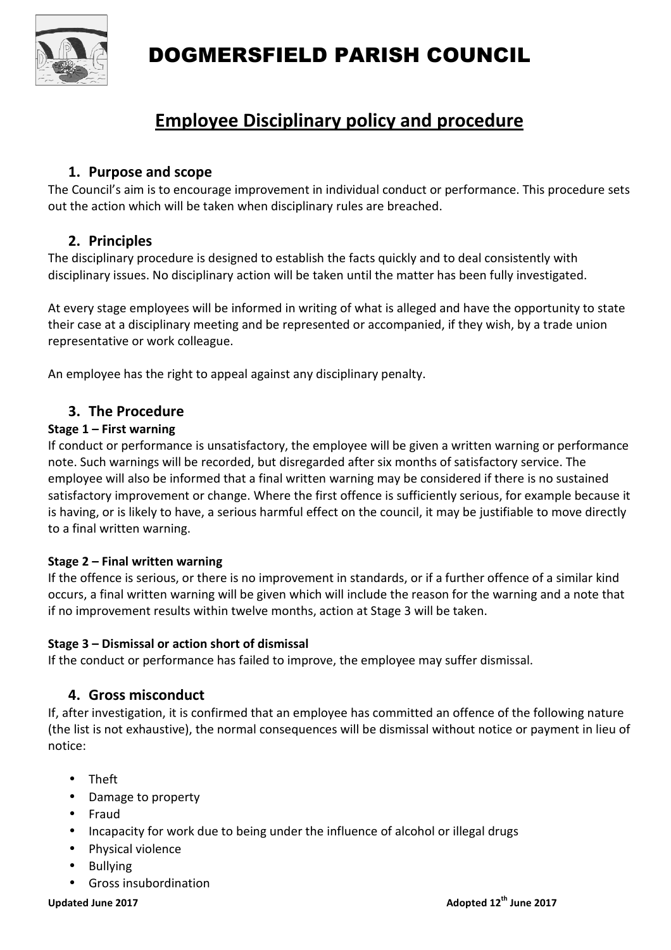

# DOGMERSFIELD PARISH COUNCIL

# **Employee Disciplinary policy and procedure**

# **1. Purpose and scope**

The Council's aim is to encourage improvement in individual conduct or performance. This procedure sets out the action which will be taken when disciplinary rules are breached.

# **2. Principles**

The disciplinary procedure is designed to establish the facts quickly and to deal consistently with disciplinary issues. No disciplinary action will be taken until the matter has been fully investigated.

At every stage employees will be informed in writing of what is alleged and have the opportunity to state their case at a disciplinary meeting and be represented or accompanied, if they wish, by a trade union representative or work colleague.

An employee has the right to appeal against any disciplinary penalty.

# **3. The Procedure**

#### **Stage 1 – First warning**

If conduct or performance is unsatisfactory, the employee will be given a written warning or performance note. Such warnings will be recorded, but disregarded after six months of satisfactory service. The employee will also be informed that a final written warning may be considered if there is no sustained satisfactory improvement or change. Where the first offence is sufficiently serious, for example because it is having, or is likely to have, a serious harmful effect on the council, it may be justifiable to move directly to a final written warning.

#### **Stage 2 – Final written warning**

If the offence is serious, or there is no improvement in standards, or if a further offence of a similar kind occurs, a final written warning will be given which will include the reason for the warning and a note that if no improvement results within twelve months, action at Stage 3 will be taken.

#### **Stage 3 – Dismissal or action short of dismissal**

If the conduct or performance has failed to improve, the employee may suffer dismissal.

### **4. Gross misconduct**

If, after investigation, it is confirmed that an employee has committed an offence of the following nature (the list is not exhaustive), the normal consequences will be dismissal without notice or payment in lieu of notice:

- Theft
- Damage to property
- Fraud
- Incapacity for work due to being under the influence of alcohol or illegal drugs
- Physical violence
- Bullying
- Gross insubordination